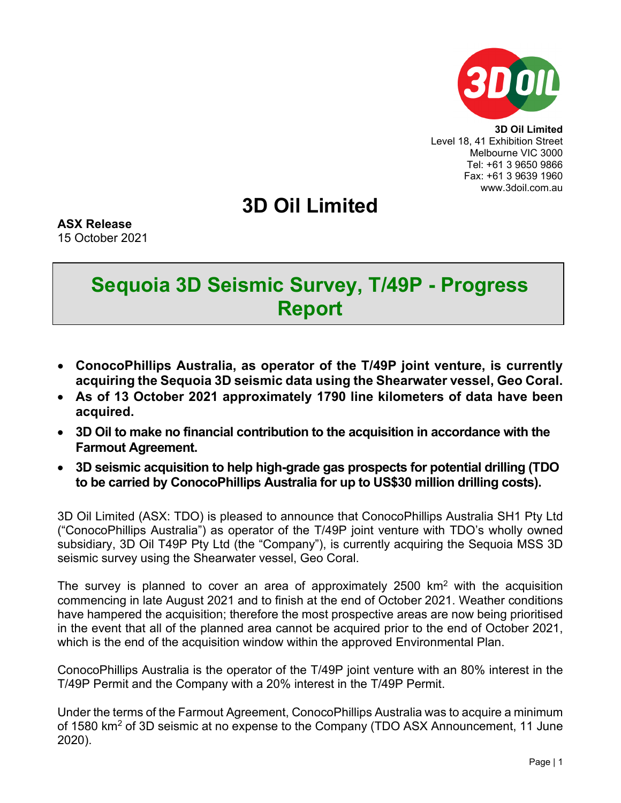

**3D Oil Limited** Level 18, 41 Exhibition Street Melbourne VIC 3000 Tel: +61 3 9650 9866 Fax: +61 3 9639 1960 www.3doil.com.au

## **3D Oil Limited**

**ASX Release** 15 October 2021

## **Sequoia 3D Seismic Survey, T/49P - Progress Report**

- **ConocoPhillips Australia, as operator of the T/49P joint venture, is currently acquiring the Sequoia 3D seismic data using the Shearwater vessel, Geo Coral.**
- **As of 13 October 2021 approximately 1790 line kilometers of data have been acquired.**
- **3D Oil to make no financial contribution to the acquisition in accordance with the Farmout Agreement.**
- **3D seismic acquisition to help high-grade gas prospects for potential drilling (TDO to be carried by ConocoPhillips Australia for up to US\$30 million drilling costs).**

3D Oil Limited (ASX: TDO) is pleased to announce that ConocoPhillips Australia SH1 Pty Ltd ("ConocoPhillips Australia") as operator of the T/49P joint venture with TDO's wholly owned subsidiary, 3D Oil T49P Pty Ltd (the "Company"), is currently acquiring the Sequoia MSS 3D seismic survey using the Shearwater vessel, Geo Coral.

The survey is planned to cover an area of approximately 2500  $km<sup>2</sup>$  with the acquisition commencing in late August 2021 and to finish at the end of October 2021. Weather conditions have hampered the acquisition; therefore the most prospective areas are now being prioritised in the event that all of the planned area cannot be acquired prior to the end of October 2021, which is the end of the acquisition window within the approved Environmental Plan.

ConocoPhillips Australia is the operator of the T/49P joint venture with an 80% interest in the T/49P Permit and the Company with a 20% interest in the T/49P Permit.

Under the terms of the Farmout Agreement, ConocoPhillips Australia was to acquire a minimum of 1580 km<sup>2</sup> of 3D seismic at no expense to the Company (TDO ASX Announcement, 11 June 2020).